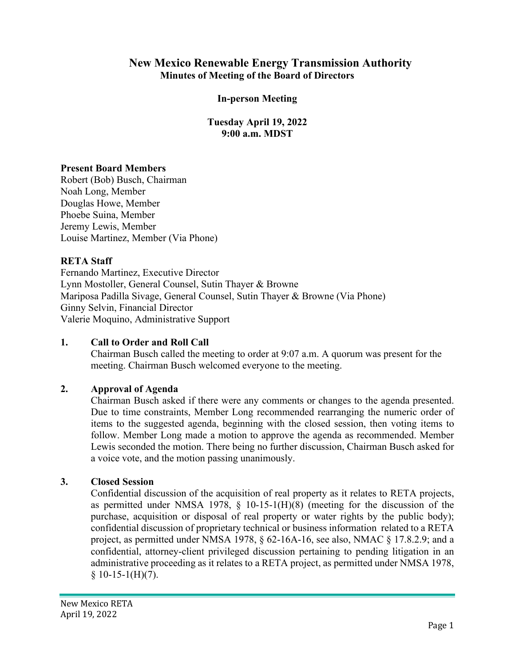## **New Mexico Renewable Energy Transmission Authority Minutes of Meeting of the Board of Directors**

#### **In-person Meeting**

**Tuesday April 19, 2022 9:00 a.m. MDST**

#### **Present Board Members**

Robert (Bob) Busch, Chairman Noah Long, Member Douglas Howe, Member Phoebe Suina, Member Jeremy Lewis, Member Louise Martinez, Member (Via Phone)

#### **RETA Staff**

Fernando Martinez, Executive Director Lynn Mostoller, General Counsel, Sutin Thayer & Browne Mariposa Padilla Sivage, General Counsel, Sutin Thayer & Browne (Via Phone) Ginny Selvin, Financial Director Valerie Moquino, Administrative Support

#### **1. Call to Order and Roll Call**

Chairman Busch called the meeting to order at 9:07 a.m. A quorum was present for the meeting. Chairman Busch welcomed everyone to the meeting.

#### **2. Approval of Agenda**

Chairman Busch asked if there were any comments or changes to the agenda presented. Due to time constraints, Member Long recommended rearranging the numeric order of items to the suggested agenda, beginning with the closed session, then voting items to follow. Member Long made a motion to approve the agenda as recommended. Member Lewis seconded the motion. There being no further discussion, Chairman Busch asked for a voice vote, and the motion passing unanimously.

#### **3. Closed Session**

Confidential discussion of the acquisition of real property as it relates to RETA projects, as permitted under NMSA 1978,  $\S$  10-15-1(H)(8) (meeting for the discussion of the purchase, acquisition or disposal of real property or water rights by the public body); confidential discussion of proprietary technical or business information related to a RETA project, as permitted under NMSA 1978, § 62-16A-16, see also, NMAC § 17.8.2.9; and a confidential, attorney-client privileged discussion pertaining to pending litigation in an administrative proceeding as it relates to a RETA project, as permitted under NMSA 1978,  $$10-15-1(H)(7).$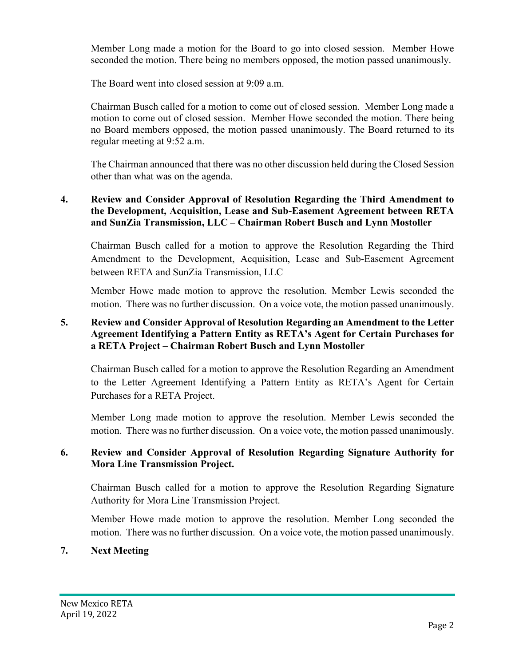Member Long made a motion for the Board to go into closed session. Member Howe seconded the motion. There being no members opposed, the motion passed unanimously.

The Board went into closed session at 9:09 a.m.

Chairman Busch called for a motion to come out of closed session. Member Long made a motion to come out of closed session. Member Howe seconded the motion. There being no Board members opposed, the motion passed unanimously. The Board returned to its regular meeting at 9:52 a.m.

The Chairman announced that there was no other discussion held during the Closed Session other than what was on the agenda.

## **4. Review and Consider Approval of Resolution Regarding the Third Amendment to the Development, Acquisition, Lease and Sub-Easement Agreement between RETA and SunZia Transmission, LLC – Chairman Robert Busch and Lynn Mostoller**

Chairman Busch called for a motion to approve the Resolution Regarding the Third Amendment to the Development, Acquisition, Lease and Sub-Easement Agreement between RETA and SunZia Transmission, LLC

Member Howe made motion to approve the resolution. Member Lewis seconded the motion. There was no further discussion. On a voice vote, the motion passed unanimously.

#### **5. Review and Consider Approval of Resolution Regarding an Amendment to the Letter Agreement Identifying a Pattern Entity as RETA's Agent for Certain Purchases for a RETA Project – Chairman Robert Busch and Lynn Mostoller**

Chairman Busch called for a motion to approve the Resolution Regarding an Amendment to the Letter Agreement Identifying a Pattern Entity as RETA's Agent for Certain Purchases for a RETA Project.

Member Long made motion to approve the resolution. Member Lewis seconded the motion. There was no further discussion. On a voice vote, the motion passed unanimously.

#### **6. Review and Consider Approval of Resolution Regarding Signature Authority for Mora Line Transmission Project.**

Chairman Busch called for a motion to approve the Resolution Regarding Signature Authority for Mora Line Transmission Project.

Member Howe made motion to approve the resolution. Member Long seconded the motion. There was no further discussion. On a voice vote, the motion passed unanimously.

## **7. Next Meeting**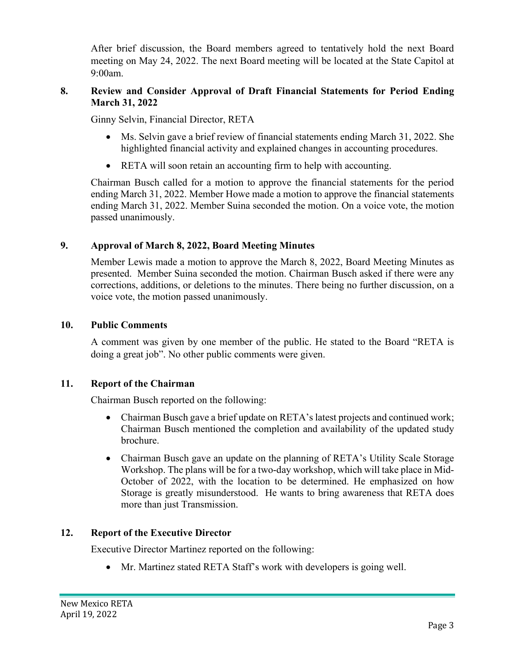After brief discussion, the Board members agreed to tentatively hold the next Board meeting on May 24, 2022. The next Board meeting will be located at the State Capitol at 9:00am.

## **8. Review and Consider Approval of Draft Financial Statements for Period Ending March 31, 2022**

Ginny Selvin, Financial Director, RETA

- Ms. Selvin gave a brief review of financial statements ending March 31, 2022. She highlighted financial activity and explained changes in accounting procedures.
- RETA will soon retain an accounting firm to help with accounting.

Chairman Busch called for a motion to approve the financial statements for the period ending March 31, 2022. Member Howe made a motion to approve the financial statements ending March 31, 2022. Member Suina seconded the motion. On a voice vote, the motion passed unanimously.

## **9. Approval of March 8, 2022, Board Meeting Minutes**

Member Lewis made a motion to approve the March 8, 2022, Board Meeting Minutes as presented. Member Suina seconded the motion. Chairman Busch asked if there were any corrections, additions, or deletions to the minutes. There being no further discussion, on a voice vote, the motion passed unanimously.

#### **10. Public Comments**

A comment was given by one member of the public. He stated to the Board "RETA is doing a great job". No other public comments were given.

#### **11. Report of the Chairman**

Chairman Busch reported on the following:

- Chairman Busch gave a brief update on RETA's latest projects and continued work; Chairman Busch mentioned the completion and availability of the updated study brochure.
- Chairman Busch gave an update on the planning of RETA's Utility Scale Storage Workshop. The plans will be for a two-day workshop, which will take place in Mid-October of 2022, with the location to be determined. He emphasized on how Storage is greatly misunderstood. He wants to bring awareness that RETA does more than just Transmission.

#### **12. Report of the Executive Director**

Executive Director Martinez reported on the following:

• Mr. Martinez stated RETA Staff's work with developers is going well.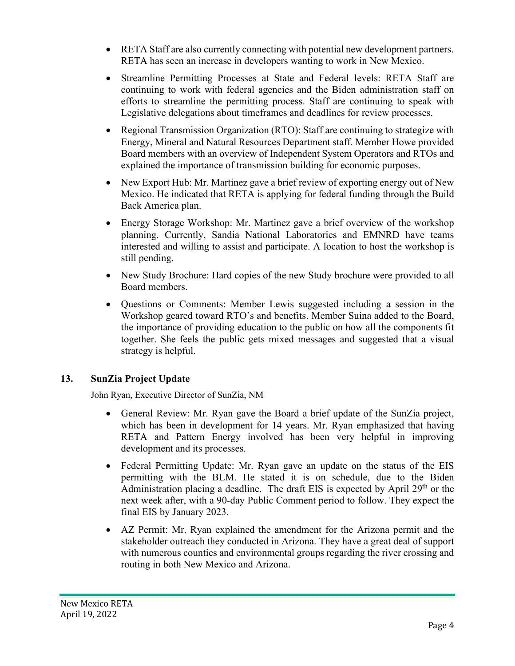- RETA Staff are also currently connecting with potential new development partners. RETA has seen an increase in developers wanting to work in New Mexico.
- Streamline Permitting Processes at State and Federal levels: RETA Staff are continuing to work with federal agencies and the Biden administration staff on efforts to streamline the permitting process. Staff are continuing to speak with Legislative delegations about timeframes and deadlines for review processes.
- Regional Transmission Organization (RTO): Staff are continuing to strategize with Energy, Mineral and Natural Resources Department staff. Member Howe provided Board members with an overview of Independent System Operators and RTOs and explained the importance of transmission building for economic purposes.
- New Export Hub: Mr. Martinez gave a brief review of exporting energy out of New Mexico. He indicated that RETA is applying for federal funding through the Build Back America plan.
- Energy Storage Workshop: Mr. Martinez gave a brief overview of the workshop planning. Currently, Sandia National Laboratories and EMNRD have teams interested and willing to assist and participate. A location to host the workshop is still pending.
- New Study Brochure: Hard copies of the new Study brochure were provided to all Board members.
- Questions or Comments: Member Lewis suggested including a session in the Workshop geared toward RTO's and benefits. Member Suina added to the Board, the importance of providing education to the public on how all the components fit together. She feels the public gets mixed messages and suggested that a visual strategy is helpful.

## **13. SunZia Project Update**

John Ryan, Executive Director of SunZia, NM

- General Review: Mr. Ryan gave the Board a brief update of the SunZia project, which has been in development for 14 years. Mr. Ryan emphasized that having RETA and Pattern Energy involved has been very helpful in improving development and its processes.
- Federal Permitting Update: Mr. Ryan gave an update on the status of the EIS permitting with the BLM. He stated it is on schedule, due to the Biden Administration placing a deadline. The draft EIS is expected by April  $29<sup>th</sup>$  or the next week after, with a 90-day Public Comment period to follow. They expect the final EIS by January 2023.
- AZ Permit: Mr. Ryan explained the amendment for the Arizona permit and the stakeholder outreach they conducted in Arizona. They have a great deal of support with numerous counties and environmental groups regarding the river crossing and routing in both New Mexico and Arizona.